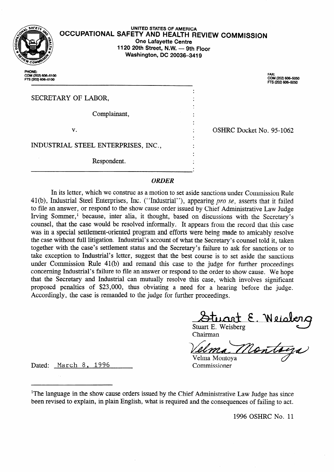

## **UNITED STATES OF AMERICA OCCUPATIONAL SAFETY AND HEALTH REVIEW COMMISSION One Lafayette Centre 1120 20th Street, N.W. - 9th Floor Washington, DC 20036-3419**

.

.

.

.

PHONE:<br>COM (202) 606-510 FTS (202) 606-6100

. COM (202) 606–505<br>FTS (202) 606–5050

SECRETARY OF LABOR,

Complainant, .

v. .

. OSHRC Docket No. 95-1062

INDUSTRIAL STEEL ENTERPRISES, INC., .

Respondent. .

## *ORDER*

In its letter, which we construe as a motion to set aside sanctions under Commission Rule 41(b), Industrial Steel Enterprises, Inc. ("Industrial"), appearing pro se, asserts that it failed to file an answer, or respond to the show cause order issued by Chief Administrative Law Judge Irving Sommer,<sup>1</sup> because, inter alia, it thought, based on discussions with the Secretary's counsel, that the case would be resolved informally. It appears from the record that this case was in a special settlement-oriented program and efforts were being made to amicably resolve the case without till litigation. Industrial's account of what the Secretary's counsel told it, taken together with the case's settlement status and the Secretary's failure to ask for sanctions or to take exception to Industrial's letter, suggest that the best course is to set aside the sanctions under Commission Rule 41(b) and remand this case to the judge for further proceedings concerning Industrial's failure to file an answer or respond to the order to show cause. We hope that the Secretary and Industrial can mutually resolve this case, which involves significant proposed penalties of \$23,000, thus obviating a need for a hearing before the judge. Accordingly, the case is remanded to the judge for further proceedings.

Stuart E. Weisberg Chairman

 $\diagup$ <u>y ei </u> Velma Montoya

Dated: March 8, 1996 Commissioner

<sup>1</sup>The language in the show cause orders issued by the Chief Administrative Law Judge has since been revised to explain, in plain English, what is required and the consequences of failing to act.

1996 OSHRC No. 11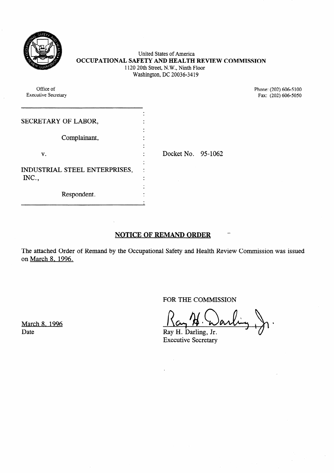

United States of America **OCCUPATIONAL SAFETY AND HEALTH REVIEW COMMISSION** 1120 20th Street, N.W., Ninth Floor Washington, DC 20036-34 19

Office of Phone: (202) 606-5100<br>Executive Secretary Fax: (202) 606-5050 SECRETARY OF LABOR, Complainant,  $\mathbf{v}$ .  $\qquad \qquad$  : . Docket No. 95-1062 INDUSTRIAL STEEL ENTERPRISES, INC., . . Respondent. . .

**NOTICE OF REMAND ORDER** 

The attached Order of Remand by the Occupational Safety and Health Review Commission was issued on March 8. 1996.

FOR THE COMMISSION

Fax:  $(202)$  606-5050

Executive Secretary

 $\sim$ 

March 8. 1996 Date Ray H. Darling, Jr.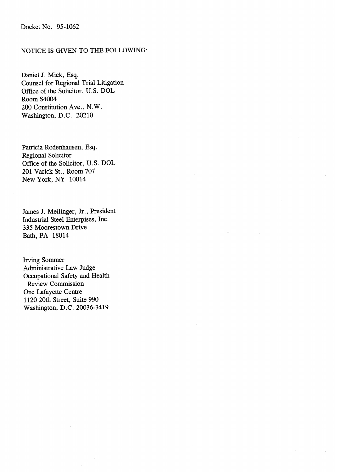## Docket No. 95-1062

## NOTICE IS GIVEN TO THE FOLLOWING:

Daniel J. Mick, Esq. Counsel for Regional Trial Litigation Office of the Solicitor, U.S. DOL Room S4004 200 Constitution Ave., N.W. Washington, D.C. 20210

Patricia Rodenhausen, Esq. Regional Solicitor Office of the Solicitor, U.S. DOL 201 Varick St., Room 707 New York, NY 10014

James J. Meilinger, Jr., President Industrial Steel Enterpises, Inc. 335 Moorestown Drive Bath, PA 18014

Irving Sommer Administrative Law Judge Occupational Safety and Health Review Commission One Lafayette Centre 1120 20th Street, Suite 990 Washington, D.C. 20036-3419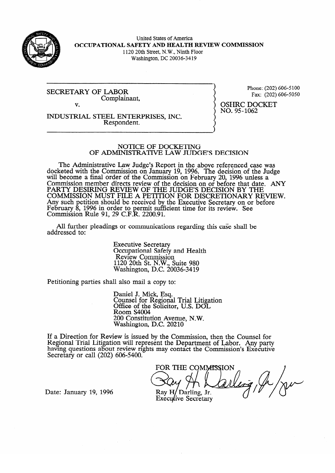

United States of America **OCCUPATIONAL SAFETY AND HEALTH REVIEW COMMISSION**  1120 20th Street, N.W., Ninth Floor Washington, DC 20036-34 19

SECRETARY OF LABOR Complainant, Phone: (202) 606-5050  $F = \frac{1}{2}$ 

v. **INDUSTRIAL STEEL ENTERPRISES, INC.**  Respondent.

 $NO.95 - 1062$ no. 952<br>20

# NOTICE OF DOCKETING<br>OF ADMINISTRATIVE LAW JUDGE'S DECISION

The Administrative Law Judge's Report in the above referenced case was docketed with the Commission on January 19, 1996. The decision of the Judge will become a final order of the Commission on February 20, 1996 unless a Commission member directs review of the decision on or before that date. PARTY DESIRING REVIEW OF THE JUDGE'S DECISION BY THE<br>COMMISSION MUST FILE 4 DETEROM FOR DISCRETION UNIVERSITY! COMMISSION MUST FILE A PETITION FOR DISCRETIONARY RE Any such petition should be received by the Executive Secretary on or before reuruary<br>Commissi  $\overline{u}$  $_{\text{P}}$  1990 in order to permit sulf<br> $_{\text{P}}$  D<sub>11</sub> a 01 20 C E D 2200 01 COMMISSION KUIT 91, 29 C.F.K. 2200.91.  $t$  time for its review. See

All further pleadings or communications regarding this case shall be  $A$ ll  $C$ ssociations regardings or communications regarding the shall behall behall behall behall behall behall behall behall behall behall behall behall behall behall behall behall behall behall behall behall behall beha

> **Executive Secretary** Occupational Safety and Health<br>Review Commission  $1120$  20th St. N.W., Suite 980 Nashington, D.C. 20 1120 20th St. N.W., Suite 980

Petitioning parties shall also mail a copy to:

Daniel J. Mick, Esq.<br>Counsel for Regional Trial Litigation Office of the Solicitor, U.S. DOL Room S4004 200 Constitution Avenue, N.W. Washington, D.C. 20210

 $\overline{\phantom{a}}$ ew is issued by the Com having questions about review rights may contact the Commission's Executive Secretary or call  $(202)$  606-5400.

FOR THE COMMISSION  $Sw/7HLOW$ Ray  $H/D$ arling, Jr. Executive Secretary

Date: January 19, 1996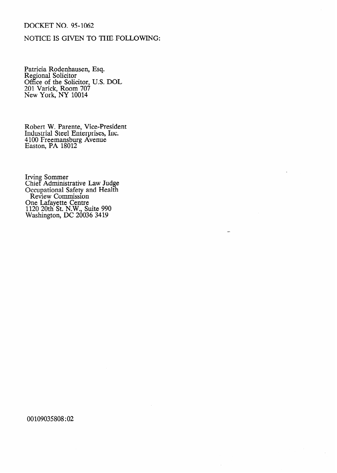# DOCKET NO. 95-1062

# **NOTICE IS GIVEN TO THE FOLLOWING:**

Patricia Rodenhausen, Esq. Regional Solicitor Office of the Solicitor, U.S. DOL 201 Varick, Room 707 New York, NY 10014

Robert W. Parente, Vice-President Industrial Steel Enterprises, Inc. 4100 Freemansburg Avenue Easton, PA 18012

Irving Sommer Chief Administrative Law Judge Occupational Safety and Health Review Commission One Lafayette Centre 1120 20th St. N.W., Suite 990 Washington, DC 20036 3419

## 00109035808 : 02